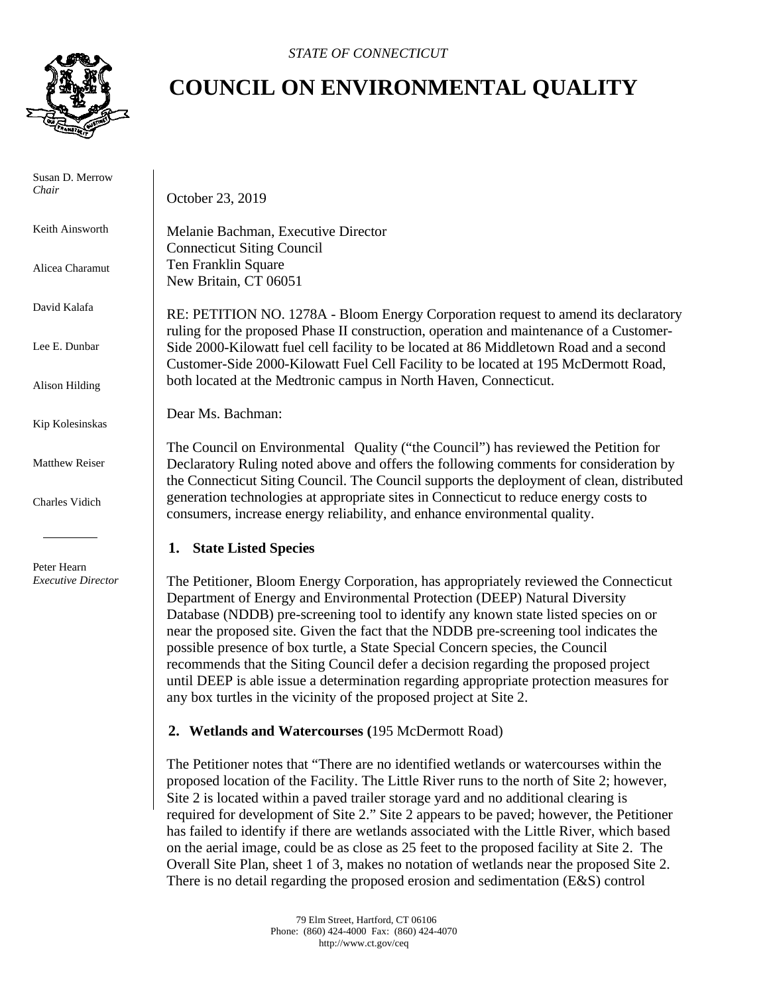

 Susan D. Merrow *Chair* 

Keith Ainsworth

Alicea Charamut

David Kalafa

Lee E. Dunbar

Alison Hilding

Kip Kolesinskas

Matthew Reiser

Charles Vidich

 Peter Hearn  *Executive Director*

## **COUNCIL ON ENVIRONMENTAL QUALITY**

October 23, 2019

Melanie Bachman, Executive Director Connecticut Siting Council Ten Franklin Square New Britain, CT 06051

RE: PETITION NO. 1278A - Bloom Energy Corporation request to amend its declaratory ruling for the proposed Phase II construction, operation and maintenance of a Customer-Side 2000-Kilowatt fuel cell facility to be located at 86 Middletown Road and a second Customer-Side 2000-Kilowatt Fuel Cell Facility to be located at 195 McDermott Road, both located at the Medtronic campus in North Haven, Connecticut.

Dear Ms. Bachman:

The Council on Environmental Quality ("the Council") has reviewed the Petition for Declaratory Ruling noted above and offers the following comments for consideration by the Connecticut Siting Council. The Council supports the deployment of clean, distributed generation technologies at appropriate sites in Connecticut to reduce energy costs to consumers, increase energy reliability, and enhance environmental quality.

## **1. State Listed Species**

The Petitioner, Bloom Energy Corporation, has appropriately reviewed the Connecticut Department of Energy and Environmental Protection (DEEP) Natural Diversity Database (NDDB) pre-screening tool to identify any known state listed species on or near the proposed site. Given the fact that the NDDB pre-screening tool indicates the possible presence of box turtle, a State Special Concern species, the Council recommends that the Siting Council defer a decision regarding the proposed project until DEEP is able issue a determination regarding appropriate protection measures for any box turtles in the vicinity of the proposed project at Site 2.

## **2. Wetlands and Watercourses (**195 McDermott Road)

The Petitioner notes that "There are no identified wetlands or watercourses within the proposed location of the Facility. The Little River runs to the north of Site 2; however, Site 2 is located within a paved trailer storage yard and no additional clearing is required for development of Site 2." Site 2 appears to be paved; however, the Petitioner has failed to identify if there are wetlands associated with the Little River, which based on the aerial image, could be as close as 25 feet to the proposed facility at Site 2. The Overall Site Plan, sheet 1 of 3, makes no notation of wetlands near the proposed Site 2. There is no detail regarding the proposed erosion and sedimentation (E&S) control